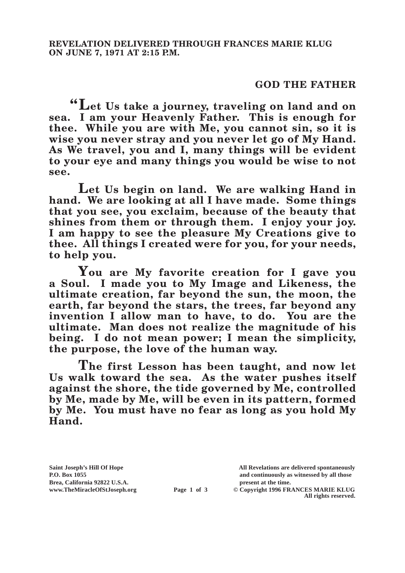## **GOD THE FATHER**

**"Let Us take a journey, traveling on land and on sea. I am your Heavenly Father. This is enough for thee. While you are with Me, you cannot sin, so it is wise you never stray and you never let go of My Hand. As We travel, you and I, many things will be evident to your eye and many things you would be wise to not see.**

**Let Us begin on land. We are walking Hand in hand. We are looking at all I have made. Some things that you see, you exclaim, because of the beauty that shines from them or through them. I enjoy your joy. I am happy to see the pleasure My Creations give to thee. All things I created were for you, for your needs, to help you.**

**You are My favorite creation for I gave you a Soul. I made you to My Image and Likeness, the ultimate creation, far beyond the sun, the moon, the earth, far beyond the stars, the trees, far beyond any invention I allow man to have, to do. You are the ultimate. Man does not realize the magnitude of his being. I do not mean power; I mean the simplicity, the purpose, the love of the human way.**

**The first Lesson has been taught, and now let Us walk toward the sea. As the water pushes itself against the shore, the tide governed by Me, controlled by Me, made by Me, will be even in its pattern, formed by Me. You must have no fear as long as you hold My Hand.**

Brea, California 92822 U.S.A.<br>
www.TheMiracleOfStJoseph.org<br> **Page 1 of 3** © Copyright 1996 FR.

**Saint Joseph's Hill Of Hope All Revelations are delivered spontaneously P.O. Box 1055 and continuously as witnessed by all those** 

**Page 1 of 3** © Copyright 1996 FRANCES MARIE KLUG **All rights reserved.**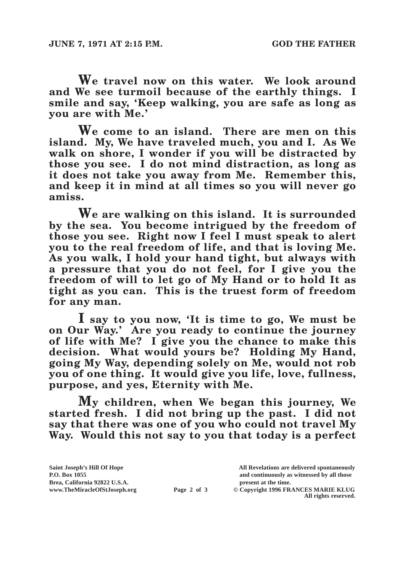**We travel now on this water. We look around and We see turmoil because of the earthly things. I smile and say, 'Keep walking, you are safe as long as you are with Me.'**

**We come to an island. There are men on this island. My, We have traveled much, you and I. As We walk on shore, I wonder if you will be distracted by those you see. I do not mind distraction, as long as it does not take you away from Me. Remember this, and keep it in mind at all times so you will never go amiss.**

**We are walking on this island. It is surrounded by the sea. You become intrigued by the freedom of those you see. Right now I feel I must speak to alert you to the real freedom of life, and that is loving Me. As you walk, I hold your hand tight, but always with a pressure that you do not feel, for I give you the freedom of will to let go of My Hand or to hold It as tight as you can. This is the truest form of freedom for any man.**

**I say to you now, 'It is time to go, We must be on Our Way.' Are you ready to continue the journey of life with Me? I give you the chance to make this decision. What would yours be? Holding My Hand, going My Way, depending solely on Me, would not rob you of one thing. It would give you life, love, fullness, purpose, and yes, Eternity with Me.**

**My children, when We began this journey, We started fresh. I did not bring up the past. I did not say that there was one of you who could not travel My Way. Would this not say to you that today is a perfect** 

| Saint Joseph's Hill Of Hope   |             | All Revelations are delivered spontaneously |
|-------------------------------|-------------|---------------------------------------------|
| P.O. Box 1055                 |             | and continuously as witnessed by all those  |
| Brea, California 92822 U.S.A. |             | present at the time.                        |
| www.TheMiracleOfStJoseph.org  | Page 2 of 3 | © Copyright 1996 FRANCES MARIE KLUG         |
|                               |             | All rights reserved.                        |